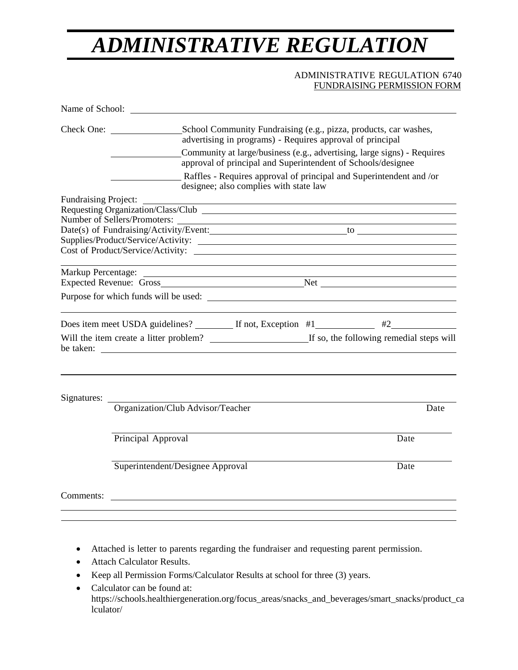## *ADMINISTRATIVE REGULATION*

## ADMINISTRATIVE REGULATION 6740 [FUNDRAISING](http://www.kusd.edu/board/policies/6000/6000-series.html) PERMISSION FORM

|                                                                                               | Name of School:                                                                                                                                                                                                                                                                        |                                                                                                                                                                                                                               |
|-----------------------------------------------------------------------------------------------|----------------------------------------------------------------------------------------------------------------------------------------------------------------------------------------------------------------------------------------------------------------------------------------|-------------------------------------------------------------------------------------------------------------------------------------------------------------------------------------------------------------------------------|
|                                                                                               | Check One:<br>School Community Fundraising (e.g., pizza, products, car washes,<br>advertising in programs) - Requires approval of principal<br>Community at large/business (e.g., advertising, large signs) - Requires<br>approval of principal and Superintendent of Schools/designee |                                                                                                                                                                                                                               |
|                                                                                               |                                                                                                                                                                                                                                                                                        |                                                                                                                                                                                                                               |
|                                                                                               | designee; also complies with state law                                                                                                                                                                                                                                                 | Raffles - Requires approval of principal and Superintendent and /or                                                                                                                                                           |
|                                                                                               | <b>Fundraising Project:</b>                                                                                                                                                                                                                                                            |                                                                                                                                                                                                                               |
|                                                                                               | Requesting Organization/Class/Club                                                                                                                                                                                                                                                     |                                                                                                                                                                                                                               |
|                                                                                               |                                                                                                                                                                                                                                                                                        |                                                                                                                                                                                                                               |
|                                                                                               |                                                                                                                                                                                                                                                                                        |                                                                                                                                                                                                                               |
|                                                                                               |                                                                                                                                                                                                                                                                                        |                                                                                                                                                                                                                               |
|                                                                                               |                                                                                                                                                                                                                                                                                        |                                                                                                                                                                                                                               |
|                                                                                               |                                                                                                                                                                                                                                                                                        | the control of the control of the control of the control of the control of the control of the control of the control of the control of the control of the control of the control of the control of the control of the control |
|                                                                                               |                                                                                                                                                                                                                                                                                        |                                                                                                                                                                                                                               |
|                                                                                               |                                                                                                                                                                                                                                                                                        |                                                                                                                                                                                                                               |
|                                                                                               |                                                                                                                                                                                                                                                                                        |                                                                                                                                                                                                                               |
| Will the item create a litter problem?  If so, the following remedial steps will<br>be taken: |                                                                                                                                                                                                                                                                                        |                                                                                                                                                                                                                               |
|                                                                                               |                                                                                                                                                                                                                                                                                        |                                                                                                                                                                                                                               |
| Signatures:                                                                                   | Organization/Club Advisor/Teacher                                                                                                                                                                                                                                                      | Date                                                                                                                                                                                                                          |
|                                                                                               |                                                                                                                                                                                                                                                                                        |                                                                                                                                                                                                                               |
|                                                                                               | Principal Approval                                                                                                                                                                                                                                                                     | Date                                                                                                                                                                                                                          |
|                                                                                               | Superintendent/Designee Approval                                                                                                                                                                                                                                                       | Date                                                                                                                                                                                                                          |
|                                                                                               |                                                                                                                                                                                                                                                                                        |                                                                                                                                                                                                                               |
|                                                                                               |                                                                                                                                                                                                                                                                                        |                                                                                                                                                                                                                               |

- Attached is letter to parents regarding the fundraiser and requesting parent permission.
- Attach Calculator Results.
- Keep all Permission Forms/Calculator Results at school for three (3) years.
- Calculator can be found at: https://schools.healthiergeneration.org/focus\_areas/snacks\_and\_beverages/smart\_snacks/product\_ca lculator/